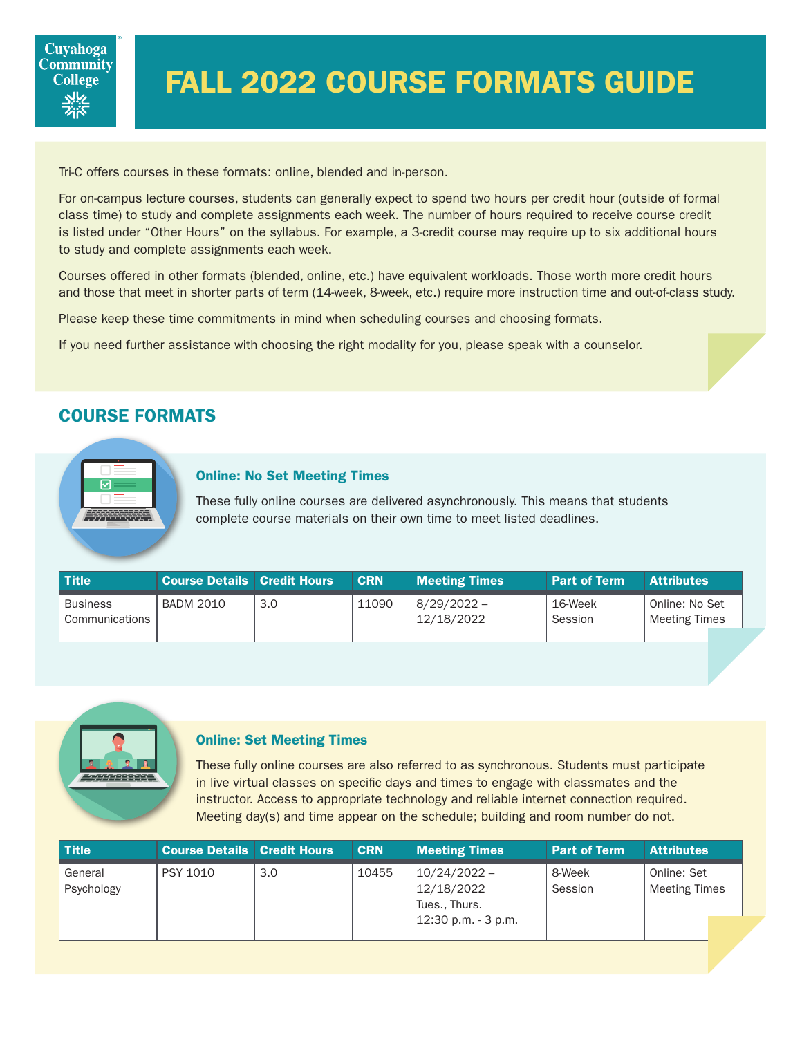# FALL 2022 COURSE FORMATS GUIDE

Tri-C offers courses in these formats: online, blended and in-person.

For on-campus lecture courses, students can generally expect to spend two hours per credit hour (outside of formal class time) to study and complete assignments each week. The number of hours required to receive course credit is listed under "Other Hours" on the syllabus. For example, a 3-credit course may require up to six additional hours to study and complete assignments each week.

Courses offered in other formats (blended, online, etc.) have equivalent workloads. Those worth more credit hours and those that meet in shorter parts of term (14-week, 8-week, etc.) require more instruction time and out-of-class study.

Please keep these time commitments in mind when scheduling courses and choosing formats.

If you need further assistance with choosing the right modality for you, please speak with a counselor.

## COURSE FORMATS



#### Online: No Set Meeting Times

These fully online courses are delivered asynchronously. This means that students complete course materials on their own time to meet listed deadlines.

| <b>Title</b>                      | <b>Course Details   Credit Hours  </b> |     | <b>CRN</b> | <b>Meeting Times</b>        | <b>Part of Term</b> | <b>Attributes</b>                      |
|-----------------------------------|----------------------------------------|-----|------------|-----------------------------|---------------------|----------------------------------------|
| <b>Business</b><br>Communications | <b>BADM 2010</b>                       | 3.0 | 11090      | $8/29/2022 -$<br>12/18/2022 | 16-Week<br>Session  | Online: No Set<br><b>Meeting Times</b> |
|                                   |                                        |     |            |                             |                     |                                        |



#### Online: Set Meeting Times

These fully online courses are also referred to as synchronous. Students must participate in live virtual classes on specific days and times to engage with classmates and the instructor. Access to appropriate technology and reliable internet connection required. Meeting day(s) and time appear on the schedule; building and room number do not.

| <b>Title</b>          | <b>Course Details Credit Hours</b> |     | <b>CRN</b> | <b>Meeting Times</b>                                                    | <b>Part of Term</b> | <b>Attributes</b>                   |
|-----------------------|------------------------------------|-----|------------|-------------------------------------------------------------------------|---------------------|-------------------------------------|
| General<br>Psychology | <b>PSY 1010</b>                    | 3.0 | 10455      | $10/24/2022 -$<br>12/18/2022<br>Tues., Thurs.<br>$12:30$ p.m. $-3$ p.m. | 8-Week<br>Session   | Online: Set<br><b>Meeting Times</b> |